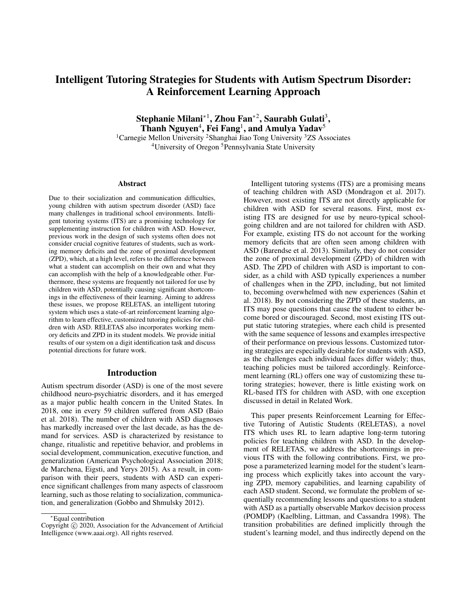# Intelligent Tutoring Strategies for Students with Autism Spectrum Disorder: A Reinforcement Learning Approach

Stephanie Milani\*<sup>1</sup>, Zhou Fan\*<sup>2</sup>, Saurabh Gulati<sup>3</sup>, Thanh Nguyen<sup>4</sup>, Fei Fang<sup>1</sup>, and Amulya Yadav<sup>5</sup>

<sup>1</sup>Carnegie Mellon University <sup>2</sup>Shanghai Jiao Tong University <sup>3</sup>ZS Associates <sup>4</sup>University of Oregon <sup>5</sup>Pennsylvania State University

#### Abstract

Due to their socialization and communication difficulties, young children with autism spectrum disorder (ASD) face many challenges in traditional school environments. Intelligent tutoring systems (ITS) are a promising technology for supplementing instruction for children with ASD. However, previous work in the design of such systems often does not consider crucial cognitive features of students, such as working memory deficits and the zone of proximal development (ZPD), which, at a high level, refers to the difference between what a student can accomplish on their own and what they can accomplish with the help of a knowledgeable other. Furthermore, these systems are frequently not tailored for use by children with ASD, potentially causing significant shortcomings in the effectiveness of their learning. Aiming to address these issues, we propose RELETAS, an intelligent tutoring system which uses a state-of-art reinforcement learning algorithm to learn effective, customized tutoring policies for children with ASD. RELETAS also incorporates working memory deficits and ZPD in its student models. We provide initial results of our system on a digit identification task and discuss potential directions for future work.

#### Introduction

Autism spectrum disorder (ASD) is one of the most severe childhood neuro-psychiatric disorders, and it has emerged as a major public health concern in the United States. In 2018, one in every 59 children suffered from ASD (Baio et al. 2018). The number of children with ASD diagnoses has markedly increased over the last decade, as has the demand for services. ASD is characterized by resistance to change, ritualistic and repetitive behavior, and problems in social development, communication, executive function, and generalization (American Psychological Association 2018; de Marchena, Eigsti, and Yerys 2015). As a result, in comparison with their peers, students with ASD can experience significant challenges from many aspects of classroom learning, such as those relating to socialization, communication, and generalization (Gobbo and Shmulsky 2012).

Intelligent tutoring systems (ITS) are a promising means of teaching children with ASD (Mondragon et al. 2017). However, most existing ITS are not directly applicable for children with ASD for several reasons. First, most existing ITS are designed for use by neuro-typical schoolgoing children and are not tailored for children with ASD. For example, existing ITS do not account for the working memory deficits that are often seen among children with ASD (Barendse et al. 2013). Similarly, they do not consider the zone of proximal development (ZPD) of children with ASD. The ZPD of children with ASD is important to consider, as a child with ASD typically experiences a number of challenges when in the ZPD, including, but not limited to, becoming overwhelmed with new experiences (Sahin et al. 2018). By not considering the ZPD of these students, an ITS may pose questions that cause the student to either become bored or discouraged. Second, most existing ITS output static tutoring strategies, where each child is presented with the same sequence of lessons and examples irrespective of their performance on previous lessons. Customized tutoring strategies are especially desirable for students with ASD, as the challenges each individual faces differ widely; thus, teaching policies must be tailored accordingly. Reinforcement learning (RL) offers one way of customizing these tutoring strategies; however, there is little existing work on RL-based ITS for children with ASD, with one exception discussed in detail in Related Work.

This paper presents Reinforcement Learning for Effective Tutoring of Autistic Students (RELETAS), a novel ITS which uses RL to learn adaptive long-term tutoring policies for teaching children with ASD. In the development of RELETAS, we address the shortcomings in previous ITS with the following contributions. First, we propose a parameterized learning model for the student's learning process which explicitly takes into account the varying ZPD, memory capabilities, and learning capability of each ASD student. Second, we formulate the problem of sequentially recommending lessons and questions to a student with ASD as a partially observable Markov decision process (POMDP) (Kaelbling, Littman, and Cassandra 1998). The transition probabilities are defined implicitly through the student's learning model, and thus indirectly depend on the

<sup>∗</sup>Equal contribution

Copyright (c) 2020, Association for the Advancement of Artificial Intelligence (www.aaai.org). All rights reserved.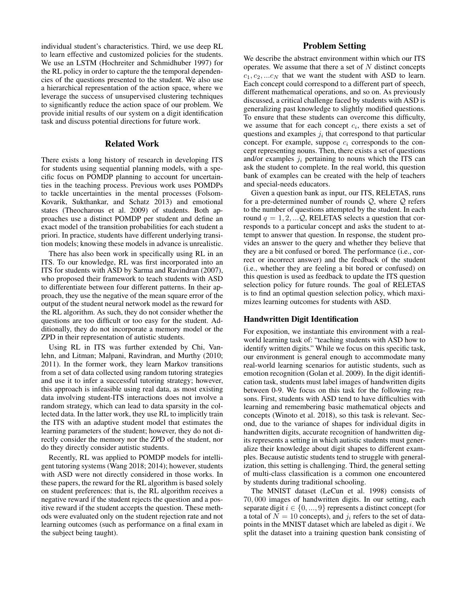individual student's characteristics. Third, we use deep RL to learn effective and customized policies for the students. We use an LSTM (Hochreiter and Schmidhuber 1997) for the RL policy in order to capture the the temporal dependencies of the questions presented to the student. We also use a hierarchical representation of the action space, where we leverage the success of unsupervised clustering techniques to significantly reduce the action space of our problem. We provide initial results of our system on a digit identification task and discuss potential directions for future work.

## Related Work

There exists a long history of research in developing ITS for students using sequential planning models, with a specific focus on POMDP planning to account for uncertainties in the teaching process. Previous work uses POMDPs to tackle uncertainties in the mental processes (Folsom-Kovarik, Sukthankar, and Schatz 2013) and emotional states (Theocharous et al. 2009) of students. Both approaches use a distinct POMDP per student and define an exact model of the transition probabilities for each student a priori. In practice, students have different underlying transition models; knowing these models in advance is unrealistic.

There has also been work in specifically using RL in an ITS. To our knowledge, RL was first incorporated into an ITS for students with ASD by Sarma and Ravindran (2007), who proposed their framework to teach students with ASD to differentiate between four different patterns. In their approach, they use the negative of the mean square error of the output of the student neural network model as the reward for the RL algorithm. As such, they do not consider whether the questions are too difficult or too easy for the student. Additionally, they do not incorporate a memory model or the ZPD in their representation of autistic students.

Using RL in ITS was further extended by Chi, Vanlehn, and Litman; Malpani, Ravindran, and Murthy (2010; 2011). In the former work, they learn Markov transitions from a set of data collected using random tutoring strategies and use it to infer a successful tutoring strategy; however, this approach is infeasible using real data, as most existing data involving student-ITS interactions does not involve a random strategy, which can lead to data sparsity in the collected data. In the latter work, they use RL to implicitly train the ITS with an adaptive student model that estimates the learning parameters of the student; however, they do not directly consider the memory nor the ZPD of the student, nor do they directly consider autistic students.

Recently, RL was applied to POMDP models for intelligent tutoring systems (Wang 2018; 2014); however, students with ASD were not directly considered in those works. In these papers, the reward for the RL algorithm is based solely on student preferences: that is, the RL algorithm receives a negative reward if the student rejects the question and a positive reward if the student accepts the question. These methods were evaluated only on the student rejection rate and not learning outcomes (such as performance on a final exam in the subject being taught).

# Problem Setting

We describe the abstract environment within which our ITS operates. We assume that there a set of  $N$  distinct concepts  $c_1, c_2, ... c_N$  that we want the student with ASD to learn. Each concept could correspond to a different part of speech, different mathematical operations, and so on. As previously discussed, a critical challenge faced by students with ASD is generalizing past knowledge to slightly modified questions. To ensure that these students can overcome this difficulty, we assume that for each concept  $c_i$ , there exists a set of questions and examples  $j_i$  that correspond to that particular concept. For example, suppose  $c_i$  corresponds to the concept representing nouns. Then, there exists a set of questions and/or examples  $j_i$  pertaining to nouns which the ITS can ask the student to complete. In the real world, this question bank of examples can be created with the help of teachers and special-needs educators.

Given a question bank as input, our ITS, RELETAS, runs for a pre-determined number of rounds  $Q$ , where  $Q$  refers to the number of questions attempted by the student. In each round  $q = 1, 2, \ldots Q$ , RELETAS selects a question that corresponds to a particular concept and asks the student to attempt to answer that question. In response, the student provides an answer to the query and whether they believe that they are a bit confused or bored. The performance (i.e., correct or incorrect answer) and the feedback of the student (i.e., whether they are feeling a bit bored or confused) on this question is used as feedback to update the ITS question selection policy for future rounds. The goal of RELETAS is to find an optimal question selection policy, which maximizes learning outcomes for students with ASD.

#### Handwritten Digit Identification

For exposition, we instantiate this environment with a realworld learning task of: "teaching students with ASD how to identify written digits." While we focus on this specific task, our environment is general enough to accommodate many real-world learning scenarios for autistic students, such as emotion recognition (Golan et al. 2009). In the digit identification task, students must label images of handwritten digits between 0-9. We focus on this task for the following reasons. First, students with ASD tend to have difficulties with learning and remembering basic mathematical objects and concepts (Winoto et al. 2018), so this task is relevant. Second, due to the variance of shapes for individual digits in handwritten digits, accurate recognition of handwritten digits represents a setting in which autistic students must generalize their knowledge about digit shapes to different examples. Because autistic students tend to struggle with generalization, this setting is challenging. Third, the general setting of multi-class classification is a common one encountered by students during traditional schooling.

The MNIST dataset (LeCun et al. 1998) consists of 70, 000 images of handwritten digits. In our setting, each separate digit  $i \in \{0, ..., 9\}$  represents a distinct concept (for a total of  $N = 10$  concepts), and  $j_i$  refers to the set of datapoints in the MNIST dataset which are labeled as digit  $i$ . We split the dataset into a training question bank consisting of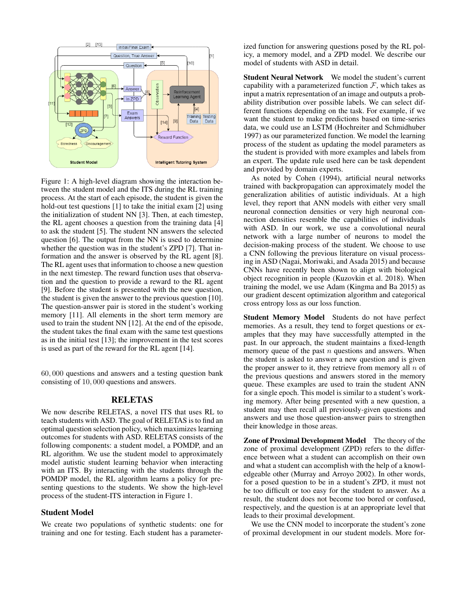

Figure 1: A high-level diagram showing the interaction between the student model and the ITS during the RL training process. At the start of each episode, the student is given the hold-out test questions [1] to take the initial exam [2] using the initialization of student NN [3]. Then, at each timestep, the RL agent chooses a question from the training data [4] to ask the student [5]. The student NN answers the selected question [6]. The output from the NN is used to determine whether the question was in the student's ZPD [7]. That information and the answer is observed by the RL agent [8]. The RL agent uses that information to choose a new question in the next timestep. The reward function uses that observation and the question to provide a reward to the RL agent [9]. Before the student is presented with the new question, the student is given the answer to the previous question [10]. The question-answer pair is stored in the student's working memory [11]. All elements in the short term memory are used to train the student NN [12]. At the end of the episode, the student takes the final exam with the same test questions as in the initial test [13]; the improvement in the test scores is used as part of the reward for the RL agent [14].

60, 000 questions and answers and a testing question bank consisting of 10, 000 questions and answers.

## RELETAS

We now describe RELETAS, a novel ITS that uses RL to teach students with ASD. The goal of RELETAS is to find an optimal question selection policy, which maximizes learning outcomes for students with ASD. RELETAS consists of the following components: a student model, a POMDP, and an RL algorithm. We use the student model to approximately model autistic student learning behavior when interacting with an ITS. By interacting with the students through the POMDP model, the RL algorithm learns a policy for presenting questions to the students. We show the high-level process of the student-ITS interaction in Figure 1.

#### Student Model

We create two populations of synthetic students: one for training and one for testing. Each student has a parameterized function for answering questions posed by the RL policy, a memory model, and a ZPD model. We describe our model of students with ASD in detail.

Student Neural Network We model the student's current capability with a parameterized function  $\mathcal{F}$ , which takes as input a matrix representation of an image and outputs a probability distribution over possible labels. We can select different functions depending on the task. For example, if we want the student to make predictions based on time-series data, we could use an LSTM (Hochreiter and Schmidhuber 1997) as our parameterized function. We model the learning process of the student as updating the model parameters as the student is provided with more examples and labels from an expert. The update rule used here can be task dependent and provided by domain experts.

As noted by Cohen (1994), artificial neural networks trained with backpropagation can approximately model the generalization abilities of autistic individuals. At a high level, they report that ANN models with either very small neuronal connection densities or very high neuronal connection densities resemble the capabilities of individuals with ASD. In our work, we use a convolutional neural network with a large number of neurons to model the decision-making process of the student. We choose to use a CNN following the previous literature on visual processing in ASD (Nagai, Moriwaki, and Asada 2015) and because CNNs have recently been shown to align with biological object recognition in people (Kuzovkin et al. 2018). When training the model, we use Adam (Kingma and Ba 2015) as our gradient descent optimization algorithm and categorical cross entropy loss as our loss function.

Student Memory Model Students do not have perfect memories. As a result, they tend to forget questions or examples that they may have successfully attempted in the past. In our approach, the student maintains a fixed-length memory queue of the past  $n$  questions and answers. When the student is asked to answer a new question and is given the proper answer to it, they retrieve from memory all  $n$  of the previous questions and answers stored in the memory queue. These examples are used to train the student ANN for a single epoch. This model is similar to a student's working memory. After being presented with a new question, a student may then recall all previously-given questions and answers and use those question-answer pairs to strengthen their knowledge in those areas.

Zone of Proximal Development Model The theory of the zone of proximal development (ZPD) refers to the difference between what a student can accomplish on their own and what a student can accomplish with the help of a knowledgeable other (Murray and Arroyo 2002). In other words, for a posed question to be in a student's ZPD, it must not be too difficult or too easy for the student to answer. As a result, the student does not become too bored or confused, respectively, and the question is at an appropriate level that leads to their proximal development.

We use the CNN model to incorporate the student's zone of proximal development in our student models. More for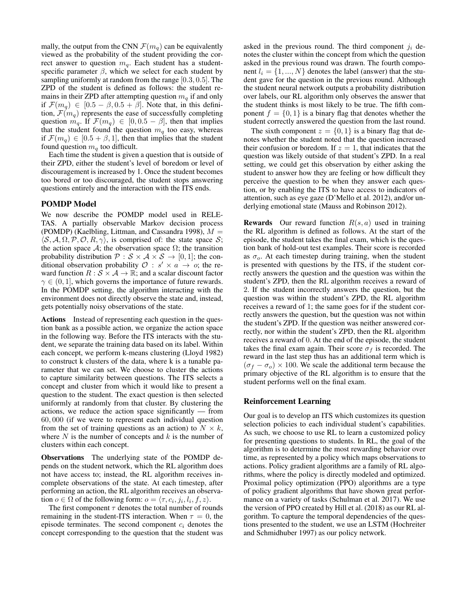mally, the output from the CNN  $\mathcal{F}(m_q)$  can be equivalently viewed as the probability of the student providing the correct answer to question  $m_q$ . Each student has a studentspecific parameter  $\beta$ , which we select for each student by sampling uniformly at random from the range [0.3, 0.5]. The ZPD of the student is defined as follows: the student remains in their ZPD after attempting question  $m_q$  if and only if  $\mathcal{F}(m_q) \in [0.5 - \beta, 0.5 + \beta]$ . Note that, in this definition,  $\mathcal{F}(m_q)$  represents the ease of successfully completing question  $m_q$ . If  $\mathcal{F}(m_q) \in [0, 0.5 - \beta]$ , then that implies that the student found the question  $m_q$  too easy, whereas if  $\mathcal{F}(m_q) \in [0.5 + \beta, 1]$ , then that implies that the student found question  $m_q$  too difficult.

Each time the student is given a question that is outside of their ZPD, either the student's level of boredom or level of discouragement is increased by 1. Once the student becomes too bored or too discouraged, the student stops answering questions entirely and the interaction with the ITS ends.

## POMDP Model

We now describe the POMDP model used in RELE-TAS. A partially observable Markov decision process (POMDP) (Kaelbling, Littman, and Cassandra 1998),  $M =$  $\langle S, A, \Omega, P, O, R, \gamma \rangle$ , is comprised of: the state space S; the action space  $\mathcal{A}$ ; the observation space  $\Omega$ ; the transition probability distribution  $P : S \times A \times S \rightarrow [0,1]$ ; the conditional observation probability  $\mathcal{O}: s' \times a \rightarrow o$ ; the reward function  $R : \mathcal{S} \times \mathcal{A} \rightarrow \mathbb{R}$ ; and a scalar discount factor  $\gamma \in (0, 1]$ , which governs the importance of future rewards. In the POMDP setting, the algorithm interacting with the environment does not directly observe the state and, instead, gets potentially noisy observations of the state.

Actions Instead of representing each question in the question bank as a possible action, we organize the action space in the following way. Before the ITS interacts with the student, we separate the training data based on its label. Within each concept, we perform k-means clustering (Lloyd 1982) to construct k clusters of the data, where k is a tunable parameter that we can set. We choose to cluster the actions to capture similarity between questions. The ITS selects a concept and cluster from which it would like to present a question to the student. The exact question is then selected uniformly at randomly from that cluster. By clustering the actions, we reduce the action space significantly — from 60, 000 (if we were to represent each individual question from the set of training questions as an action) to  $N \times k$ , where  $N$  is the number of concepts and  $k$  is the number of clusters within each concept.

Observations The underlying state of the POMDP depends on the student network, which the RL algorithm does not have access to; instead, the RL algorithm receives incomplete observations of the state. At each timestep, after performing an action, the RL algorithm receives an observation  $o \in \Omega$  of the following form:  $o = \langle \tau, c_i, j_i, l_i, f, z \rangle$ .

The first component  $\tau$  denotes the total number of rounds remaining in the student-ITS interaction. When  $\tau = 0$ , the episode terminates. The second component  $c_i$  denotes the concept corresponding to the question that the student was

asked in the previous round. The third component  $j_i$  denotes the cluster within the concept from which the question asked in the previous round was drawn. The fourth component  $l_i = \{1, ..., N\}$  denotes the label (answer) that the student gave for the question in the previous round. Although the student neural network outputs a probability distribution over labels, our RL algorithm only observes the answer that the student thinks is most likely to be true. The fifth component  $f = \{0, 1\}$  is a binary flag that denotes whether the student correctly answered the question from the last round.

The sixth component  $z = \{0, 1\}$  is a binary flag that denotes whether the student noted that the question increased their confusion or boredom. If  $z = 1$ , that indicates that the question was likely outside of that student's ZPD. In a real setting, we could get this observation by either asking the student to answer how they are feeling or how difficult they perceive the question to be when they answer each question, or by enabling the ITS to have access to indicators of attention, such as eye gaze (D'Mello et al. 2012), and/or underlying emotional state (Mauss and Robinson 2012).

**Rewards** Our reward function  $R(s, a)$  used in training the RL algorithm is defined as follows. At the start of the episode, the student takes the final exam, which is the question bank of hold-out test examples. Their score is recorded as  $\sigma_o$ . At each timestep during training, when the student is presented with questions by the ITS, if the student correctly answers the question and the question was within the student's ZPD, then the RL algorithm receives a reward of 2. If the student incorrectly answers the question, but the question was within the student's ZPD, the RL algorithm receives a reward of 1; the same goes for if the student correctly answers the question, but the question was not within the student's ZPD. If the question was neither answered correctly, nor within the student's ZPD, then the RL algorithm receives a reward of 0. At the end of the episode, the student takes the final exam again. Their score  $\sigma_f$  is recorded. The reward in the last step thus has an additional term which is  $(\sigma_f - \sigma_o) \times 100$ . We scale the additional term because the primary objective of the RL algorithm is to ensure that the student performs well on the final exam.

#### Reinforcement Learning

Our goal is to develop an ITS which customizes its question selection policies to each individual student's capabilities. As such, we choose to use RL to learn a customized policy for presenting questions to students. In RL, the goal of the algorithm is to determine the most rewarding behavior over time, as represented by a policy which maps observations to actions. Policy gradient algorithms are a family of RL algorithms, where the policy is directly modeled and optimized. Proximal policy optimization (PPO) algorithms are a type of policy gradient algorithms that have shown great performance on a variety of tasks (Schulman et al. 2017). We use the version of PPO created by Hill et al. (2018) as our RL algorithm. To capture the temporal dependencies of the questions presented to the student, we use an LSTM (Hochreiter and Schmidhuber 1997) as our policy network.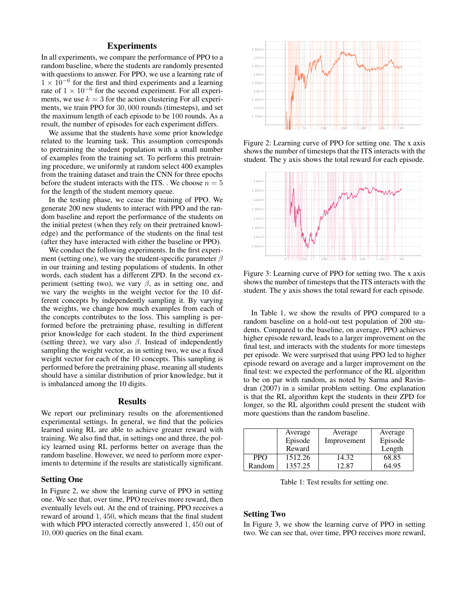## **Experiments**

In all experiments, we compare the performance of PPO to a random baseline, where the students are randomly presented with questions to answer. For PPO, we use a learning rate of  $1 \times 10^{-6}$  for the first and third experiments and a learning rate of  $1 \times 10^{-6}$  for the second experiment. For all experiments, we use  $k = 3$  for the action clustering For all experiments, we train PPO for 30, 000 rounds (timesteps), and set the maximum length of each episode to be 100 rounds. As a result, the number of episodes for each experiment differs.

We assume that the students have some prior knowledge related to the learning task. This assumption corresponds to pretraining the student population with a small number of examples from the training set. To perform this pretraining procedure, we uniformly at random select 400 examples from the training dataset and train the CNN for three epochs before the student interacts with the ITS. . We choose  $n = 5$ for the length of the student memory queue.

In the testing phase, we cease the training of PPO. We generate 200 new students to interact with PPO and the random baseline and report the performance of the students on the initial pretest (when they rely on their pretrained knowledge) and the performance of the students on the final test (after they have interacted with either the baseline or PPO).

We conduct the following experiments. In the first experiment (setting one), we vary the student-specific parameter  $\beta$ in our training and testing populations of students. In other words, each student has a different ZPD. In the second experiment (setting two), we vary  $\beta$ , as in setting one, and we vary the weights in the weight vector for the 10 different concepts by independently sampling it. By varying the weights, we change how much examples from each of the concepts contributes to the loss. This sampling is performed before the pretraining phase, resulting in different prior knowledge for each student. In the third experiment (setting three), we vary also  $\beta$ . Instead of independently sampling the weight vector, as in setting two, we use a fixed weight vector for each of the 10 concepts. This sampling is performed before the pretraining phase, meaning all students should have a similar distribution of prior knowledge, but it is imbalanced among the 10 digits.

#### Results

We report our preliminary results on the aforementioned experimental settings. In general, we find that the policies learned using RL are able to achieve greater reward with training. We also find that, in settings one and three, the policy learned using RL performs better on average than the random baseline. However, we need to perform more experiments to determine if the results are statistically significant.

#### Setting One

In Figure 2, we show the learning curve of PPO in setting one. We see that, over time, PPO receives more reward, then eventually levels out. At the end of training, PPO receives a reward of around 1, 450, which means that the final student with which PPO interacted correctly answered 1, 450 out of 10, 000 queries on the final exam.



Figure 2: Learning curve of PPO for setting one. The x axis shows the number of timesteps that the ITS interacts with the student. The y axis shows the total reward for each episode.



Figure 3: Learning curve of PPO for setting two. The x axis shows the number of timesteps that the ITS interacts with the student. The y axis shows the total reward for each episode.

In Table 1, we show the results of PPO compared to a random baseline on a hold-out test population of 200 students. Compared to the baseline, on average, PPO achieves higher episode reward, leads to a larger improvement on the final test, and interacts with the students for more timesteps per episode. We were surprised that using PPO led to higher episode reward on average and a larger improvement on the final test: we expected the performance of the RL algorithm to be on par with random, as noted by Sarma and Ravindran (2007) in a similar problem setting. One explanation is that the RL algorithm kept the students in their ZPD for longer, so the RL algorithm could present the student with more questions than the random baseline.

|            | Average | Average     | Average |
|------------|---------|-------------|---------|
|            | Episode | Improvement | Episode |
|            | Reward  |             | Length  |
| <b>PPO</b> | 1512.26 | 14.32       | 68.85   |
| Random     | 1357.25 | 12.87       | 64.95   |

Table 1: Test results for setting one.

#### Setting Two

In Figure 3, we show the learning curve of PPO in setting two. We can see that, over time, PPO receives more reward,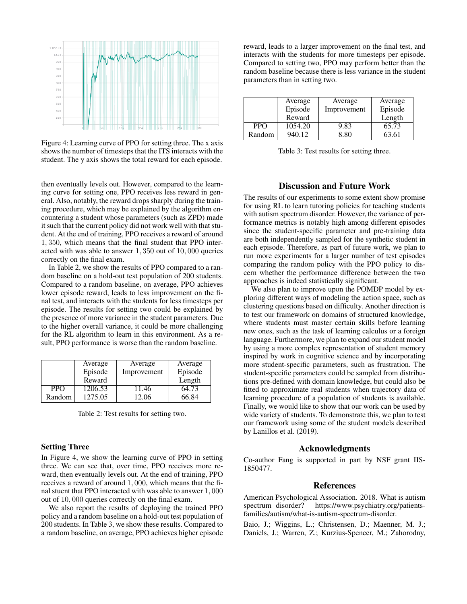

Figure 4: Learning curve of PPO for setting three. The x axis shows the number of timesteps that the ITS interacts with the student. The y axis shows the total reward for each episode.

then eventually levels out. However, compared to the learning curve for setting one, PPO receives less reward in general. Also, notably, the reward drops sharply during the training procedure, which may be explained by the algorithm encountering a student whose parameters (such as ZPD) made it such that the current policy did not work well with that student. At the end of training, PPO receives a reward of around 1, 350, which means that the final student that PPO interacted with was able to answer 1, 350 out of 10, 000 queries correctly on the final exam.

In Table 2, we show the results of PPO compared to a random baseline on a hold-out test population of 200 students. Compared to a random baseline, on average, PPO achieves lower episode reward, leads to less improvement on the final test, and interacts with the students for less timesteps per episode. The results for setting two could be explained by the presence of more variance in the student parameters. Due to the higher overall variance, it could be more challenging for the RL algorithm to learn in this environment. As a result, PPO performance is worse than the random baseline.

|            | Average | Average     | Average |
|------------|---------|-------------|---------|
|            | Episode | Improvement | Episode |
|            | Reward  |             | Length  |
| <b>PPO</b> | 1206.53 | 11.46       | 64.73   |
| Random     | 1275.05 | 12.06       | 66.84   |

Table 2: Test results for setting two.

#### Setting Three

In Figure 4, we show the learning curve of PPO in setting three. We can see that, over time, PPO receives more reward, then eventually levels out. At the end of training, PPO receives a reward of around 1, 000, which means that the final stuent that PPO interacted with was able to answer 1, 000 out of 10, 000 queries correctly on the final exam.

We also report the results of deploying the trained PPO policy and a random baseline on a hold-out test population of 200 students. In Table 3, we show these results. Compared to a random baseline, on average, PPO achieves higher episode

reward, leads to a larger improvement on the final test, and interacts with the students for more timesteps per episode. Compared to setting two, PPO may perform better than the random baseline because there is less variance in the student parameters than in setting two.

|            | Average | Average     | Average |
|------------|---------|-------------|---------|
|            | Episode | Improvement | Episode |
|            | Reward  |             | Length  |
| <b>PPO</b> | 1054.20 | 9.83        | 65.73   |
| Random     | 940.12  | 8.80        | 63.61   |

Table 3: Test results for setting three.

## Discussion and Future Work

The results of our experiments to some extent show promise for using RL to learn tutoring policies for teaching students with autism spectrum disorder. However, the variance of performance metrics is notably high among different episodes since the student-specific parameter and pre-training data are both independently sampled for the synthetic student in each episode. Therefore, as part of future work, we plan to run more experiments for a larger number of test episodes comparing the random policy with the PPO policy to discern whether the performance difference between the two approaches is indeed statistically significant.

We also plan to improve upon the POMDP model by exploring different ways of modeling the action space, such as clustering questions based on difficulty. Another direction is to test our framework on domains of structured knowledge, where students must master certain skills before learning new ones, such as the task of learning calculus or a foreign language. Furthermore, we plan to expand our student model by using a more complex representation of student memory inspired by work in cognitive science and by incorporating more student-specific parameters, such as frustration. The student-specific parameters could be sampled from distributions pre-defined with domain knowledge, but could also be fitted to approximate real students when trajectory data of learning procedure of a population of students is available. Finally, we would like to show that our work can be used by wide variety of students. To demonstrate this, we plan to test our framework using some of the student models described by Lanillos et al. (2019).

#### Acknowledgments

Co-author Fang is supported in part by NSF grant IIS-1850477.

## References

American Psychological Association. 2018. What is autism spectrum disorder? https://www.psychiatry.org/patientsfamilies/autism/what-is-autism-spectrum-disorder.

Baio, J.; Wiggins, L.; Christensen, D.; Maenner, M. J.; Daniels, J.; Warren, Z.; Kurzius-Spencer, M.; Zahorodny,